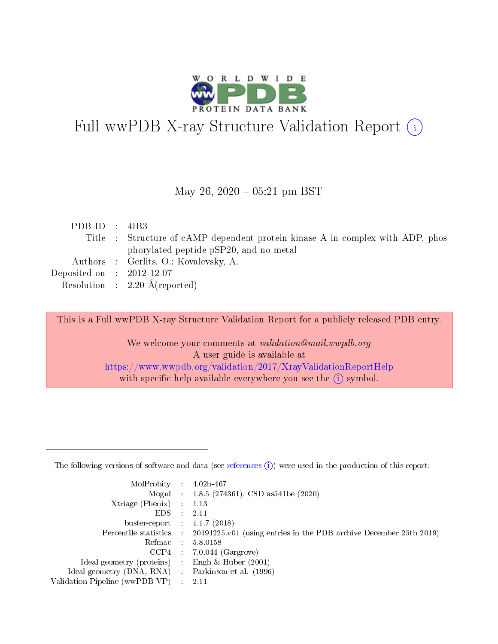

# Full wwPDB X-ray Structure Validation Report (i)

#### May 26,  $2020 - 05:21$  pm BST

| PDB ID : $4IB3$                          |                                                                                 |
|------------------------------------------|---------------------------------------------------------------------------------|
|                                          | Title : Structure of cAMP dependent protein kinase A in complex with ADP, phos- |
|                                          | phorylated peptide pSP20, and no metal                                          |
|                                          | Authors : Gerlits, O.; Kovalevsky, A.                                           |
| Deposited on : $2012-12-07$              |                                                                                 |
| Resolution : $2.20 \text{ Å}$ (reported) |                                                                                 |

This is a Full wwPDB X-ray Structure Validation Report for a publicly released PDB entry.

We welcome your comments at validation@mail.wwpdb.org A user guide is available at <https://www.wwpdb.org/validation/2017/XrayValidationReportHelp> with specific help available everywhere you see the  $(i)$  symbol.

The following versions of software and data (see [references](https://www.wwpdb.org/validation/2017/XrayValidationReportHelp#references)  $(1)$ ) were used in the production of this report:

| MolProbity                     | $\mathcal{L}_{\rm{max}}$ | $4.02b - 467$                                                                |
|--------------------------------|--------------------------|------------------------------------------------------------------------------|
|                                |                          | Mogul : $1.8.5$ (274361), CSD as 541be (2020)                                |
| $X$ triage (Phenix) :          |                          | 1.13                                                                         |
| EDS.                           |                          | 2.11                                                                         |
| buster-report : $1.1.7$ (2018) |                          |                                                                              |
| Percentile statistics :        |                          | $20191225 \text{ v}01$ (using entries in the PDB archive December 25th 2019) |
| Refmac                         |                          | 5.8.0158                                                                     |
| $CCP4$ :                       |                          | $7.0.044$ (Gargrove)                                                         |
| Ideal geometry (proteins) :    |                          | Engh $\&$ Huber (2001)                                                       |
| Ideal geometry (DNA, RNA) :    |                          | Parkinson et al. (1996)                                                      |
| Validation Pipeline (wwPDB-VP) | $\mathcal{L}$            | -2.11                                                                        |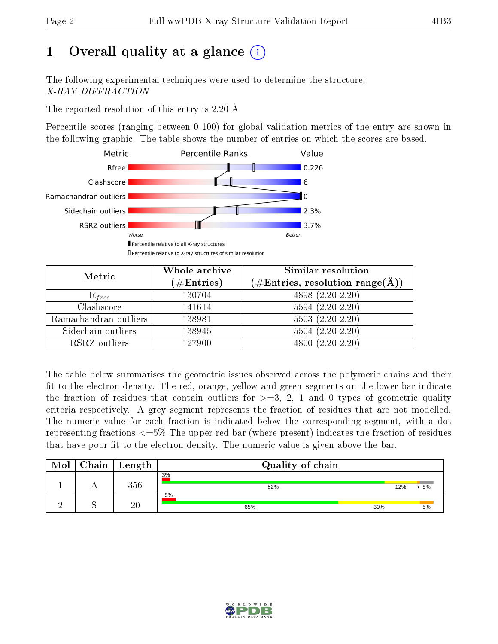# 1 [O](https://www.wwpdb.org/validation/2017/XrayValidationReportHelp#overall_quality)verall quality at a glance  $(i)$

The following experimental techniques were used to determine the structure: X-RAY DIFFRACTION

The reported resolution of this entry is 2.20 Å.

Percentile scores (ranging between 0-100) for global validation metrics of the entry are shown in the following graphic. The table shows the number of entries on which the scores are based.



| Metric                | Whole archive<br>$(\#\text{Entries})$ | Similar resolution<br>$(\#\text{Entries}, \, \text{resolution range}(\textup{\AA}))$ |
|-----------------------|---------------------------------------|--------------------------------------------------------------------------------------|
| $R_{free}$            | 130704                                | 4898 (2.20-2.20)                                                                     |
| Clashscore            | 141614                                | $5594(2.20-2.20)$                                                                    |
| Ramachandran outliers | 138981                                | $5503(2.20-2.20)$                                                                    |
| Sidechain outliers    | 138945                                | $5504(2.20-2.20)$                                                                    |
| RSRZ outliers         | 127900                                | $4800(2.20-2.20)$                                                                    |

The table below summarises the geometric issues observed across the polymeric chains and their fit to the electron density. The red, orange, yellow and green segments on the lower bar indicate the fraction of residues that contain outliers for  $>=3, 2, 1$  and 0 types of geometric quality criteria respectively. A grey segment represents the fraction of residues that are not modelled. The numeric value for each fraction is indicated below the corresponding segment, with a dot representing fractions  $\epsilon=5\%$  The upper red bar (where present) indicates the fraction of residues that have poor fit to the electron density. The numeric value is given above the bar.

| Mol | Chain | $\vert$ Length  | Quality of chain |     |    |
|-----|-------|-----------------|------------------|-----|----|
|     |       | $356\,$         | 3%<br>82%        | 12% | 5% |
|     |       | $\overline{20}$ | 5%<br>30%<br>65% |     | 5% |

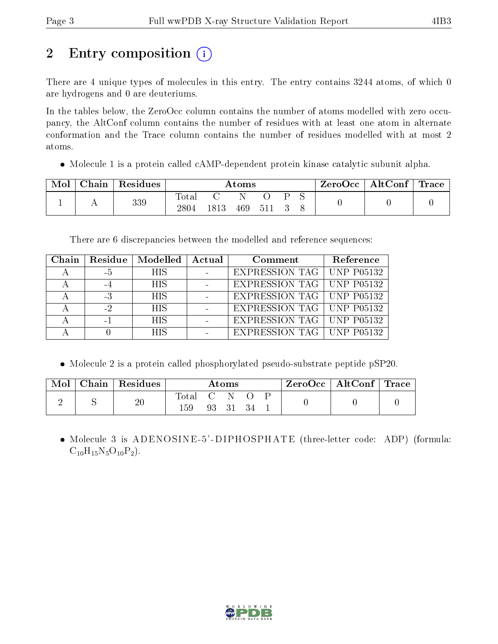# 2 Entry composition (i)

There are 4 unique types of molecules in this entry. The entry contains 3244 atoms, of which 0 are hydrogens and 0 are deuteriums.

In the tables below, the ZeroOcc column contains the number of atoms modelled with zero occupancy, the AltConf column contains the number of residues with at least one atom in alternate conformation and the Trace column contains the number of residues modelled with at most 2 atoms.

Molecule 1 is a protein called cAMP-dependent protein kinase catalytic subunit alpha.

| Mol | Chain Residues | $\rm{Atoms}$            |      |     |     |  | $\text{ZeroOcc}$   AltConf   Trace |  |  |
|-----|----------------|-------------------------|------|-----|-----|--|------------------------------------|--|--|
|     | 339            | $\rm Total$<br>$2804\,$ | 1813 | 469 | 511 |  |                                    |  |  |

There are 6 discrepancies between the modelled and reference sequences:

| Chain |      | Residue   Modelled | Actual | Comment                            | Reference |
|-------|------|--------------------|--------|------------------------------------|-----------|
|       | – 5  | <b>HIS</b>         |        | <b>EXPRESSION TAG   UNP P05132</b> |           |
|       |      | <b>HIS</b>         |        | EXPRESSION TAG   UNP P05132        |           |
|       | -3   | <b>HIS</b>         |        | EXPRESSION TAG   UNP P05132        |           |
|       | $-2$ | <b>HIS</b>         |        | EXPRESSION TAG   UNP P05132        |           |
|       |      | <b>HIS</b>         |        | EXPRESSION TAG   UNP P05132        |           |
|       |      | HIS                |        | <b>EXPRESSION TAG   UNP P05132</b> |           |

Molecule 2 is a protein called phosphorylated pseudo-substrate peptide pSP20.

| Mol | Chain   Residues |              |                              | Atoms |  | $\text{ZeroOcc} \mid \text{AltConf} \mid \text{Trace}$ |  |
|-----|------------------|--------------|------------------------------|-------|--|--------------------------------------------------------|--|
|     | 20               | Total<br>159 | $\sim$ $\sim$ $\sim$<br>93 - | - 31  |  |                                                        |  |

• Molecule 3 is ADENOSINE-5'-DIPHOSPHATE (three-letter code: ADP) (formula:  $C_{10}H_{15}N_5O_{10}P_2$ .

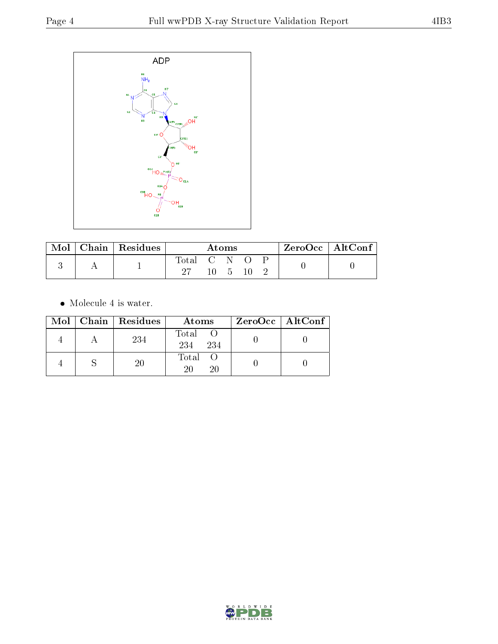

| Mol | Chain   Residues | Atoms       |  |  | $ZeroOcc$   AltConf |  |  |
|-----|------------------|-------------|--|--|---------------------|--|--|
|     |                  | Total C N – |  |  |                     |  |  |

• Molecule 4 is water.

|  | Mol   Chain   Residues | Atoms                 | $ZeroOcc \mid AltConf \mid$ |
|--|------------------------|-----------------------|-----------------------------|
|  | 234                    | Total O<br>234<br>234 |                             |
|  | 20                     | Total O<br>20<br>20   |                             |

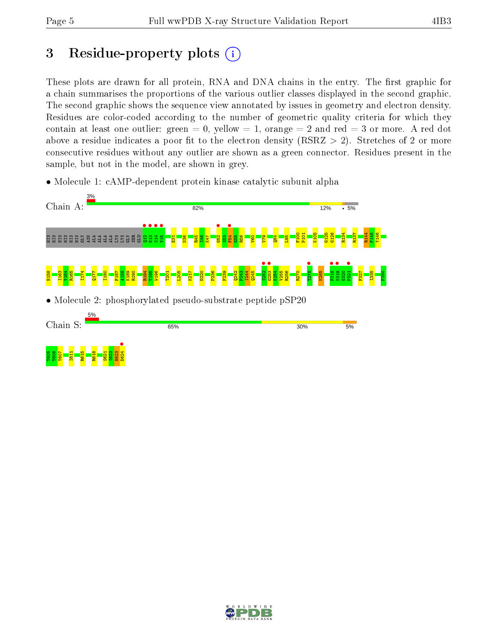# 3 Residue-property plots  $(i)$

These plots are drawn for all protein, RNA and DNA chains in the entry. The first graphic for a chain summarises the proportions of the various outlier classes displayed in the second graphic. The second graphic shows the sequence view annotated by issues in geometry and electron density. Residues are color-coded according to the number of geometric quality criteria for which they contain at least one outlier: green  $= 0$ , yellow  $= 1$ , orange  $= 2$  and red  $= 3$  or more. A red dot above a residue indicates a poor fit to the electron density (RSRZ  $> 2$ ). Stretches of 2 or more consecutive residues without any outlier are shown as a green connector. Residues present in the sample, but not in the model, are shown in grey.

• Molecule 1: cAMP-dependent protein kinase catalytic subunit alpha



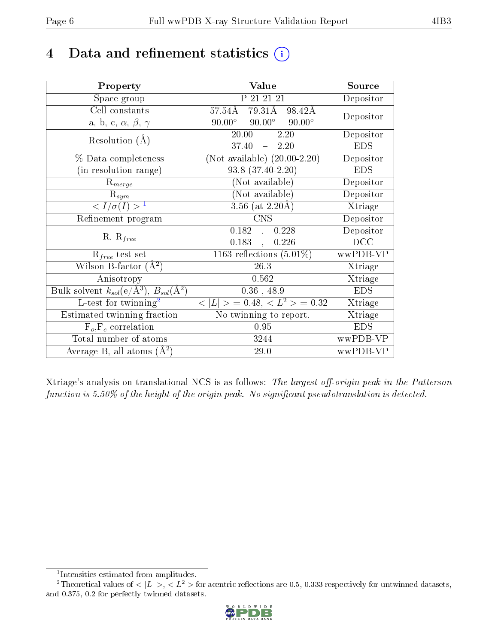# 4 Data and refinement statistics  $(i)$

| Property                                                         | Value                                               | Source     |
|------------------------------------------------------------------|-----------------------------------------------------|------------|
| Space group                                                      | P 21 21 21                                          | Depositor  |
| Cell constants                                                   | $79.31\text{\AA}$<br>57.54Å<br>98.42Å               | Depositor  |
| a, b, c, $\alpha$ , $\beta$ , $\gamma$                           | $90.00^\circ$<br>$90.00^{\circ}$<br>$90.00^{\circ}$ |            |
| Resolution $(A)$                                                 | 20.00<br>$\frac{1}{2}$<br>2.20                      | Depositor  |
|                                                                  | 37.40<br>$-2.20$                                    | <b>EDS</b> |
| % Data completeness                                              | (Not available) $(20.00-2.20)$                      | Depositor  |
| (in resolution range)                                            | $93.8(37.40-2.20)$                                  | <b>EDS</b> |
| $R_{merge}$                                                      | (Not available)                                     | Depositor  |
| $\mathrm{R}_{sym}$                                               | (Not available)                                     | Depositor  |
| $\langle I/\sigma(I) \rangle^{-1}$                               | 3.56 (at $2.20\text{\AA}$ )                         | Xtriage    |
| Refinement program                                               | <b>CNS</b>                                          | Depositor  |
| $R, R_{free}$                                                    | 0.182<br>0.228<br>$\frac{1}{2}$                     | Depositor  |
|                                                                  | 0.183,<br>0.226                                     | DCC        |
| $R_{free}$ test set                                              | $\overline{1163}$ reflections $(5.01\%)$            | wwPDB-VP   |
| Wilson B-factor $(A^2)$                                          | 26.3                                                | Xtriage    |
| Anisotropy                                                       | 0.562                                               | Xtriage    |
| Bulk solvent $k_{sol}(\text{e}/\text{A}^3), B_{sol}(\text{A}^2)$ | $0.36$ , 48.9                                       | <b>EDS</b> |
| L-test for twinning <sup>2</sup>                                 | $< L >$ = 0.48, $< L2 >$ = 0.32                     | Xtriage    |
| Estimated twinning fraction                                      | No twinning to report.                              | Xtriage    |
| $F_o, F_c$ correlation                                           | 0.95                                                | <b>EDS</b> |
| Total number of atoms                                            | 3244                                                | wwPDB-VP   |
| Average B, all atoms $(A^2)$                                     | 29.0                                                | wwPDB-VP   |

Xtriage's analysis on translational NCS is as follows: The largest off-origin peak in the Patterson function is  $5.50\%$  of the height of the origin peak. No significant pseudotranslation is detected.

<sup>&</sup>lt;sup>2</sup>Theoretical values of  $\langle |L| \rangle$ ,  $\langle L^2 \rangle$  for acentric reflections are 0.5, 0.333 respectively for untwinned datasets, and 0.375, 0.2 for perfectly twinned datasets.



<span id="page-5-1"></span><span id="page-5-0"></span><sup>1</sup> Intensities estimated from amplitudes.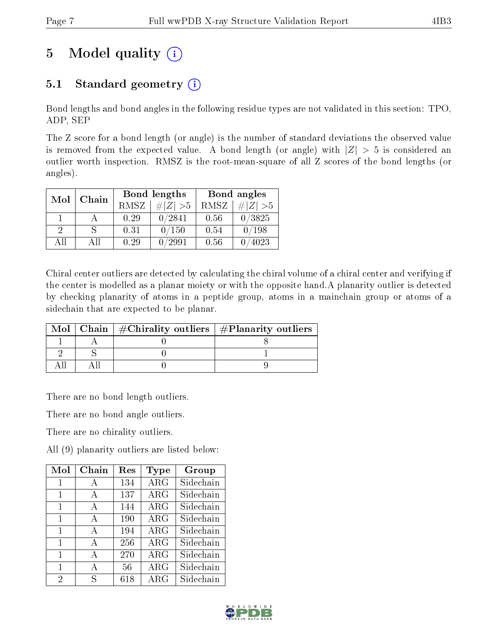# 5 Model quality  $(i)$

# 5.1 Standard geometry  $(i)$

Bond lengths and bond angles in the following residue types are not validated in this section: TPO, ADP, SEP

The Z score for a bond length (or angle) is the number of standard deviations the observed value is removed from the expected value. A bond length (or angle) with  $|Z| > 5$  is considered an outlier worth inspection. RMSZ is the root-mean-square of all Z scores of the bond lengths (or angles).

| Mol | Chain |      | Bond lengths |      | Bond angles    |
|-----|-------|------|--------------|------|----------------|
|     |       | RMSZ | $\# Z  > 5$  | RMSZ | $\ Z\  > 5$    |
|     |       | 0.29 | 0/2841       | 0.56 | 0/3825         |
| 9   |       | 0.31 | 0/150        | 0.54 | $^{\prime}198$ |
| ΔH  | A 11  | 0.29 | ′2991        | 0.56 | 4023           |

Chiral center outliers are detected by calculating the chiral volume of a chiral center and verifying if the center is modelled as a planar moiety or with the opposite hand.A planarity outlier is detected by checking planarity of atoms in a peptide group, atoms in a mainchain group or atoms of a sidechain that are expected to be planar.

|  | Mol   Chain   $\#\text{Chirality outliers}$   $\#\text{Planarity outliers}$ |
|--|-----------------------------------------------------------------------------|
|  |                                                                             |
|  |                                                                             |
|  |                                                                             |

There are no bond length outliers.

There are no bond angle outliers.

There are no chirality outliers.

All (9) planarity outliers are listed below:

| Mol            | Chain | $\operatorname{Res}$ | Type       | Group     |
|----------------|-------|----------------------|------------|-----------|
| 1              | А     | 134                  | ARG        | Sidechain |
| 1              | A     | 137                  | $\rm{ARG}$ | Sidechain |
| 1              | A     | 144                  | $\rm{ARG}$ | Sidechain |
| 1              | A     | 190                  | $\rm{ARG}$ | Sidechain |
| 1              | A     | 194                  | $\rm{ARG}$ | Sidechain |
| 1              | A     | 256                  | $\rm{ARG}$ | Sidechain |
| 1              | A     | 270                  | $\rm{ARG}$ | Sidechain |
| 1              | A     | 56                   | $\rm{ARG}$ | Sidechain |
| $\overline{2}$ | S     | 618                  | $\rm{ARG}$ | Sidechain |

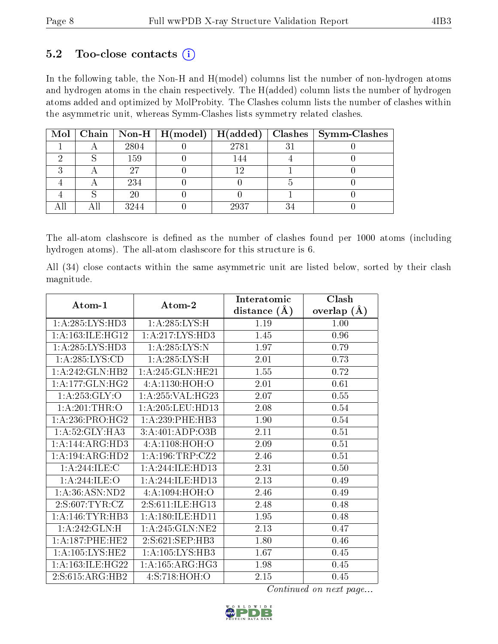### $5.2$  Too-close contacts  $(i)$

In the following table, the Non-H and H(model) columns list the number of non-hydrogen atoms and hydrogen atoms in the chain respectively. The H(added) column lists the number of hydrogen atoms added and optimized by MolProbity. The Clashes column lists the number of clashes within the asymmetric unit, whereas Symm-Clashes lists symmetry related clashes.

|  |      |      |   | Mol   Chain   Non-H   H(model)   H(added)   Clashes   Symm-Clashes |
|--|------|------|---|--------------------------------------------------------------------|
|  | 2804 | 2781 | ച |                                                                    |
|  | 159  | 144  |   |                                                                    |
|  | 97   | 1 ດ  |   |                                                                    |
|  | 234  |      |   |                                                                    |
|  | 20   |      |   |                                                                    |
|  | 3244 | 2937 | ົ |                                                                    |

The all-atom clashscore is defined as the number of clashes found per 1000 atoms (including hydrogen atoms). The all-atom clashscore for this structure is 6.

All (34) close contacts within the same asymmetric unit are listed below, sorted by their clash magnitude.

| $Atom-1$            | $\boldsymbol{\mathrm{Atom}\text{-}2}$ | Interatomic    | Clash         |
|---------------------|---------------------------------------|----------------|---------------|
|                     |                                       | distance $(A)$ | overlap $(A)$ |
| 1: A:285:LYS:HD3    | 1: A:285:LYS:H                        | 1.19           | 1.00          |
| 1: A:163: ILE: HG12 | 1: A: 217: LYS: HD3                   | 1.45           | 0.96          |
| 1:A:285:LYS:HD3     | 1:A:285:LYS:N                         | 1.97           | 0.79          |
| 1: A:285:LYS:CD     | 1: A:285:LYS:H                        | 2.01           | 0.73          |
| 1:A:242:GLN:HB2     | 1: A:245: GLN: HE21                   | 1.55           | 0.72          |
| 1: A:177: GLN: HG2  | 4:A:1130:HOH:O                        | 2.01           | 0.61          |
| 1: A:253: GLY:O     | 1:A:255:VAL:HG23                      | 2.07           | 0.55          |
| 1: A:201:THR:O      | 1: A:205:LEU:HD13                     | 2.08           | 0.54          |
| 1:A:236:PRO:HG2     | 1: A:239:PHE:HB3                      | 1.90           | 0.54          |
| 1: A:52: GLY:HA3    | 3:A:401:ADP:O3B                       | 2.11           | 0.51          |
| 1:A:144:ARG:HD3     | 4: A: 1108: HOH: O                    | 2.09           | 0.51          |
| 1:A:194:ARG:HD2     | 1: A: 196: TRP: CZ2                   | 2.46           | 0.51          |
| 1:A:244:ILE:C       | 1: A:244: ILE: H D13                  | 2.31           | 0.50          |
| 1:A:244:ILE:O       | 1:A:244:ILE:HD13                      | 2.13           | 0.49          |
| 1: A:36: ASN:ND2    | 4: A: 1094: HOH: O                    | 2.46           | 0.49          |
| 2: S:607: TYR: CZ   | 2: S: 611: ILE: HG13                  | 2.48           | 0.48          |
| 1: A:146:TYR:HB3    | 1: A:180: ILE: HD11                   | 1.95           | 0.48          |
| 1:A:242:GLN:H       | 1:A:245:GLN:NE2                       | 2.13           | 0.47          |
| 1: A:187:PHE:HE2    | 2:5:621:SEP:HB3                       | 1.80           | 0.46          |
| 1: A: 105: LYS: HE2 | 1: A: 105: LYS: HB3                   | 1.67           | 0.45          |
| 1: A:163: ILE: HG22 | 1:A:165:ARG:HG3                       | 1.98           | 0.45          |
| 2:S:615:ARG:HB2     | 4:S:718:HOH:O                         | 2.15           | 0.45          |

Continued on next page...

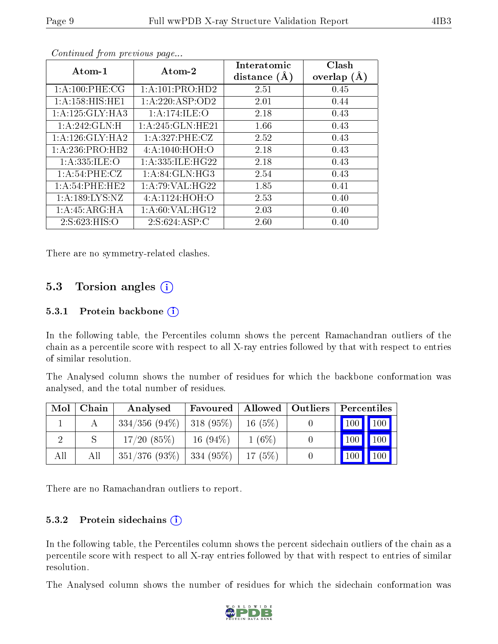| Atom-1             | Atom-2               | Interatomic<br>distance $(A)$ | Clash<br>overlap $(A)$ |
|--------------------|----------------------|-------------------------------|------------------------|
| 1: A:100: PHE:CG   | 1: A: 101: PRO: HD2  | 2.51                          | 0.45                   |
| 1: A:158:HIS:HE1   | 1:A:220:ASP:OD2      | 2.01                          | 0.44                   |
| 1:A:125:GLY:HA3    | 1:A:174:ILE:O        | 2.18                          | 0.43                   |
| 1:A:242:GLN:H      | 1:A:245:GLN:HE21     | 1.66                          | 0.43                   |
| 1:A:126:GLY:HA2    | 1:A:327:PHE:CZ       | 2.52                          | 0.43                   |
| 1:A:236:PRO:HB2    | 4: A: 1040: HOH:O    | 2.18                          | 0.43                   |
| 1: A: 335: ILE: O  | 1: A: 335: ILE: HG22 | 2.18                          | 0.43                   |
| 1: A:54:PHE:CZ     | 1: A:84: GLN:HG3     | 2.54                          | 0.43                   |
| 1:A:54:PHE:HE2     | 1: A:79: VAL:HG22    | 1.85                          | 0.41                   |
| 1: A: 189: LYS: NZ | 4: A: 1124: HOH: O   | 2.53                          | 0.40                   |
| 1:A:45:ARG:HA      | 1: A:60: VAL:HG12    | 2.03                          | 0.40                   |
| 2:S:623:HIS:O      | 2: S:624: ASP:C      | 2.60                          | 0.40                   |

Continued from previous page...

There are no symmetry-related clashes.

### 5.3 Torsion angles  $(i)$

#### 5.3.1 Protein backbone  $(i)$

In the following table, the Percentiles column shows the percent Ramachandran outliers of the chain as a percentile score with respect to all X-ray entries followed by that with respect to entries of similar resolution.

The Analysed column shows the number of residues for which the backbone conformation was analysed, and the total number of residues.

| Mol | Chain | Analysed                      | Favoured   Allowed   Outliers |           | $\mid$ Percentiles $\mid$                  |
|-----|-------|-------------------------------|-------------------------------|-----------|--------------------------------------------|
|     |       | $334/356$ (94\%)   318 (95\%) |                               | $16(5\%)$ | $\begin{bmatrix} 100 \\ 100 \end{bmatrix}$ |
|     |       | 17/20(85%)                    | $16(94\%)$                    | $1(6\%)$  | $\vert$ 100 $\vert$ 100 $\vert$ 1          |
| All | All   | $351/376$ (93\%)   334 (95\%) |                               | 17(5%)    | $\vert$ 100 $\vert$ 100 $\vert$            |

There are no Ramachandran outliers to report.

#### 5.3.2 Protein sidechains  $(i)$

In the following table, the Percentiles column shows the percent sidechain outliers of the chain as a percentile score with respect to all X-ray entries followed by that with respect to entries of similar resolution.

The Analysed column shows the number of residues for which the sidechain conformation was

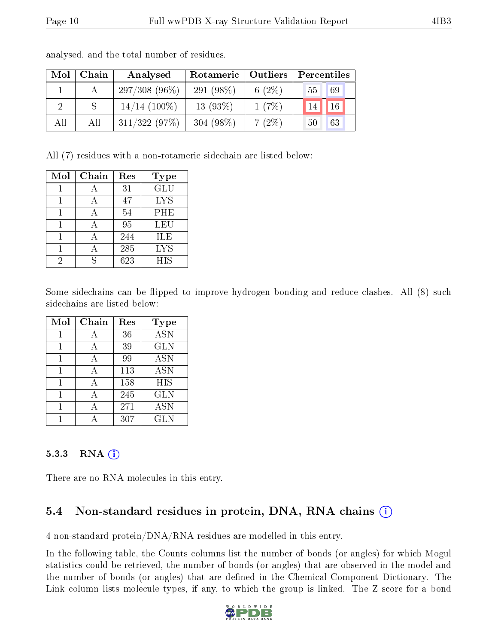| Mol | Chain | Analysed        | Rotameric    | $\vert$ Outliers | Percentiles |    |
|-----|-------|-----------------|--------------|------------------|-------------|----|
|     |       | $297/308(96\%)$ | 291 $(98\%)$ | 6 $(2\%)$        | 55          | 69 |
|     |       | $14/14$ (100%)  | $13(93\%)$   | 1(7%)            |             | 16 |
| All | All   | 311/322(97%)    | 304 $(98\%)$ | $7(2\%)$         | 50          | 63 |

analysed, and the total number of residues.

All (7) residues with a non-rotameric sidechain are listed below:

| Mol | Chain | Res | <b>Type</b> |
|-----|-------|-----|-------------|
|     |       | 31  | GLU         |
|     |       | 47  | <b>LYS</b>  |
|     |       | 54  | <b>PHE</b>  |
|     |       | 95  | LEU         |
|     |       | 244 | ILE         |
|     |       | 285 | <b>LYS</b>  |
| 2   |       | 623 | <b>HIS</b>  |

Some sidechains can be flipped to improve hydrogen bonding and reduce clashes. All (8) such sidechains are listed below:

| Mol | Chain | Res | <b>Type</b> |
|-----|-------|-----|-------------|
| 1   | А     | 36  | <b>ASN</b>  |
| 1   | A     | 39  | <b>GLN</b>  |
| 1   | А     | 99  | <b>ASN</b>  |
|     | А     | 113 | <b>ASN</b>  |
| 1   | А     | 158 | <b>HIS</b>  |
|     | А     | 245 | <b>GLN</b>  |
|     |       | 271 | <b>ASN</b>  |
|     |       | 307 | <b>GLN</b>  |

#### 5.3.3 RNA [O](https://www.wwpdb.org/validation/2017/XrayValidationReportHelp#rna)i

There are no RNA molecules in this entry.

### 5.4 Non-standard residues in protein, DNA, RNA chains (i)

4 non-standard protein/DNA/RNA residues are modelled in this entry.

In the following table, the Counts columns list the number of bonds (or angles) for which Mogul statistics could be retrieved, the number of bonds (or angles) that are observed in the model and the number of bonds (or angles) that are defined in the Chemical Component Dictionary. The Link column lists molecule types, if any, to which the group is linked. The Z score for a bond

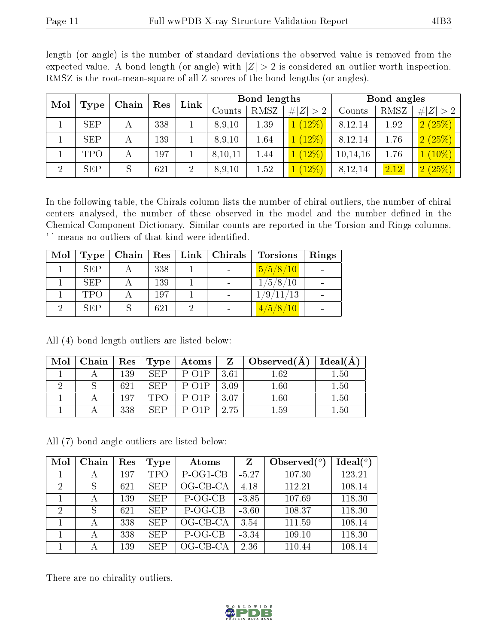|--|

| Mol            | <b>Type</b> | Res<br>Chain |     | Link           | <b>Bond lengths</b> |      |           | Bond angles |      |                          |
|----------------|-------------|--------------|-----|----------------|---------------------|------|-----------|-------------|------|--------------------------|
|                |             |              |     |                | Counts              | RMSZ | Z >2<br># | Counts      | RMSZ | # $ Z  > 2$              |
|                | <b>SEP</b>  | А            | 338 |                | 8,9,10              | 1.39 | $(12\%)$  | 8,12,14     | 1.92 | 2(25%)                   |
|                | <b>SEP</b>  | А            | 139 |                | 8,9,10              | 1.64 | $(12\%)$  | 8,12,14     | 1.76 | 2(25%)                   |
|                | TPO         | $\mathbf{A}$ | 197 |                | 8,10,11             | 1.44 | $(12\%)$  | 10, 14, 16  | 1.76 | $(10\%)$<br>$\mathbf{1}$ |
| $\overline{2}$ | <b>SEP</b>  | S            | 621 | $\overline{2}$ | 8,9,10              | 1.52 | $(12\%)$  | 8,12,14     | 2.12 | 2(25%)                   |

length (or angle) is the number of standard deviations the observed value is removed from the expected value. A bond length (or angle) with  $|Z| > 2$  is considered an outlier worth inspection. RMSZ is the root-mean-square of all Z scores of the bond lengths (or angles).

In the following table, the Chirals column lists the number of chiral outliers, the number of chiral centers analysed, the number of these observed in the model and the number defined in the Chemical Component Dictionary. Similar counts are reported in the Torsion and Rings columns. '-' means no outliers of that kind were identified.

| Mol | <b>Type</b> | Chain |     | Res   Link   Chirals | Torsions  | Rings |
|-----|-------------|-------|-----|----------------------|-----------|-------|
|     | <b>SEP</b>  |       | 338 |                      | 5/5/8/10  |       |
|     | <b>SEP</b>  |       | 139 | $\sim$               | 1/5/8/10  |       |
|     | <b>TPO</b>  |       | 197 | $\sim$               | 1/9/11/13 |       |
|     | <b>SEP</b>  |       | 621 |                      | 4/5/8/10  |       |

All (4) bond length outliers are listed below:

| Mol | Chain | $+$ Res $+$ | Type <sup>1</sup> | Atoms                   |      | $\Box$ Observed(A) | Ideal(A  |
|-----|-------|-------------|-------------------|-------------------------|------|--------------------|----------|
|     |       | 139         | SEP               | $P-O1P$                 | 3.61 | $1.62\,$           | $1.50\,$ |
|     |       | 621         | SEP               | $P-O1P$                 | 3.09 | $1.60\,$           | $1.50\,$ |
|     |       | 197         |                   | $P$ -O <sub>1</sub> $P$ | 3.07 | $1.60\,$           | $1.50\,$ |
|     |       | 338         | <b>SEP</b>        | $P$ -O <sub>1</sub> $P$ | 2.75 | $1.59\,$           | $1.50\,$ |

All (7) bond angle outliers are listed below:

| Mol            | Chain | Res | Type       | Atoms      | Z       | Observed $(°)$ | Ideal $(°)$ |
|----------------|-------|-----|------------|------------|---------|----------------|-------------|
|                | А     | 197 | <b>TPO</b> | P-OG1-CB   | $-5.27$ | 107.30         | 123.21      |
| $\overline{2}$ |       | 621 | <b>SEP</b> | OG-CB-CA   | 4.18    | 112.21         | 108.14      |
|                | А     | 139 | <b>SEP</b> | P-OG-CB    | $-3.85$ | 107.69         | 118.30      |
| $\overline{2}$ |       | 621 | <b>SEP</b> | P-OG-CB    | $-3.60$ | 108.37         | 118.30      |
|                |       | 338 | <b>SEP</b> | OG-CB-CA   | 3.54    | 111.59         | 108.14      |
|                | А     | 338 | <b>SEP</b> | P-OG-CB    | $-3.34$ | 109.10         | 118.30      |
|                | А     | 139 | <b>SEP</b> | $OG-CB-CA$ | 2.36    | 110.44         | 108.14      |

There are no chirality outliers.

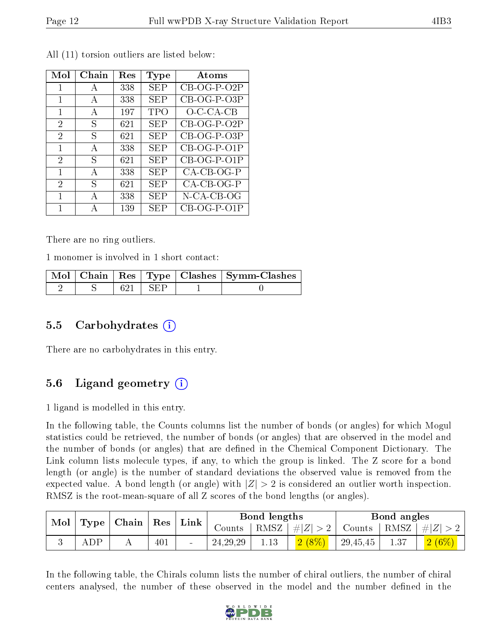| Mol            | Chain | Res | Type       | Atoms         |
|----------------|-------|-----|------------|---------------|
| 1              | А     | 338 | <b>SEP</b> | $CB-OG-P-O2P$ |
| 1              | А     | 338 | SEP        | $CB-OG-P-O3P$ |
| 1              | А     | 197 | <b>TPO</b> | $O$ -C-CA-CB  |
| $\overline{2}$ | S     | 621 | SEP        | CB-OG-P-O2P   |
| 2              | S     | 621 | <b>SEP</b> | CB-OG-P-O3P   |
| 1              | А     | 338 | <b>SEP</b> | $CB-OG-P-O1P$ |
| 2              | ς     | 621 | SEP        | CB-OG-P-O1P   |
| 1              | A     | 338 | SEP        | $CA-CB-OG-P$  |
| 2              | S     | 621 | SEP        | $CA-CB-OG-P$  |
| 1              | А     | 338 | SEP        | N-CA-CB-OG    |
| 1              | А     | 139 | SEP        | $CB-OG-P-O1P$ |

All (11) torsion outliers are listed below:

There are no ring outliers.

1 monomer is involved in 1 short contact:

|  |                    | Mol   Chain   Res   Type   Clashes   Symm-Clashes |
|--|--------------------|---------------------------------------------------|
|  | $621 + \text{SEP}$ |                                                   |

### 5.5 Carbohydrates (i)

There are no carbohydrates in this entry.

### 5.6 Ligand geometry  $(i)$

1 ligand is modelled in this entry.

In the following table, the Counts columns list the number of bonds (or angles) for which Mogul statistics could be retrieved, the number of bonds (or angles) that are observed in the model and the number of bonds (or angles) that are defined in the Chemical Component Dictionary. The Link column lists molecule types, if any, to which the group is linked. The Z score for a bond length (or angle) is the number of standard deviations the observed value is removed from the expected value. A bond length (or angle) with  $|Z| > 2$  is considered an outlier worth inspection. RMSZ is the root-mean-square of all Z scores of the bond lengths (or angles).

| Mol<br>$\vert$ Type $\vert$ Chain $\vert$ Res $\vert$ |     |     | Link | Bond lengths |            |         | Bond angles   |          |         |         |
|-------------------------------------------------------|-----|-----|------|--------------|------------|---------|---------------|----------|---------|---------|
|                                                       |     |     |      | Counts       | RMSZ       | $\# Z $ | Counts   RMSZ |          | $\# Z $ |         |
|                                                       | ADP | . . | 401  |              | 24, 29, 29 | 1.13    | 2(8%          | 29,45,45 | 1.37    | $2(6\%$ |

In the following table, the Chirals column lists the number of chiral outliers, the number of chiral centers analysed, the number of these observed in the model and the number defined in the

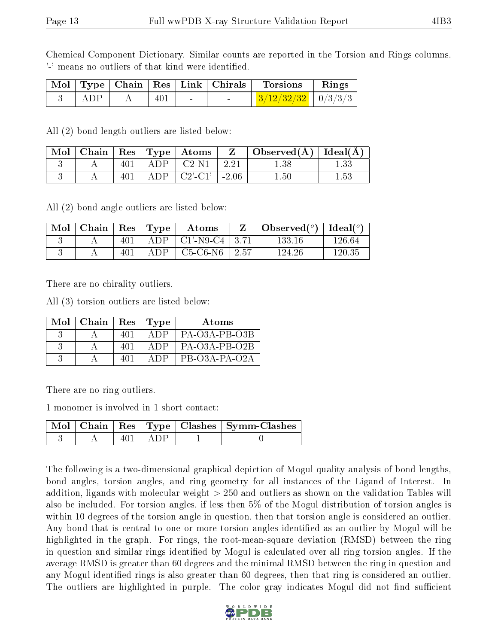Chemical Component Dictionary. Similar counts are reported in the Torsion and Rings columns. '-' means no outliers of that kind were identified.

|     |     | Mol   Type   Chain   Res   Link   Chirals | Torsions                                | Rings |
|-----|-----|-------------------------------------------|-----------------------------------------|-------|
| ADP | 401 |                                           | $\mid$ 3/12/32/32 $\mid$ 0/3/3/3 $\mid$ |       |

All (2) bond length outliers are listed below:

| Mol | Chain |     |      | $\vert$ Res $\vert$ Type $\vert$ Atoms $\vert$ |         | $\mid$ Observed( $\AA$ ) $\mid$ Ideal( $\AA$ ) $\mid$ |          |
|-----|-------|-----|------|------------------------------------------------|---------|-------------------------------------------------------|----------|
|     |       | 401 | ADP. | $C2-N1$                                        | 2.21    | 1.38                                                  |          |
|     |       | 401 | ADP  | $C2'$ -C1'                                     | $-2.06$ | $1.50\,$                                              | $1.53\,$ |

All (2) bond angle outliers are listed below:

| $^{\cdot}$ Mol $_{\perp}$ | $\mid$ Chain $\mid$ Res $\mid$ Type |     |      | Atoms                              |      | $\mid$ Observed $({}^o)$ $\mid$ Ideal $({}^o)$ |        |
|---------------------------|-------------------------------------|-----|------|------------------------------------|------|------------------------------------------------|--------|
|                           |                                     | 401 |      | ADP $\vert$ C1'-N9-C4 $\vert$ 3.71 |      | 133.16                                         | 126.64 |
|                           |                                     |     | A DP | C5-C6-N6                           | 2.57 | 124.26                                         | 120.35 |

There are no chirality outliers.

All (3) torsion outliers are listed below:

| Mol | Chain | $\operatorname{Res}$ | $\vert$ Type | Atoms         |
|-----|-------|----------------------|--------------|---------------|
|     |       | 401                  | A DP         | PA-O3A-PB-O3B |
|     |       | 401                  | A DP         | PA-O3A-PB-O2B |
|     |       | 401                  |              | PB-03A-PA-02A |

There are no ring outliers.

1 monomer is involved in 1 short contact:

|  |     |        | Mol   Chain   Res   Type   Clashes   Symm-Clashes |
|--|-----|--------|---------------------------------------------------|
|  | 401 | ⊢ A DP |                                                   |

The following is a two-dimensional graphical depiction of Mogul quality analysis of bond lengths, bond angles, torsion angles, and ring geometry for all instances of the Ligand of Interest. In addition, ligands with molecular weight > 250 and outliers as shown on the validation Tables will also be included. For torsion angles, if less then 5% of the Mogul distribution of torsion angles is within 10 degrees of the torsion angle in question, then that torsion angle is considered an outlier. Any bond that is central to one or more torsion angles identified as an outlier by Mogul will be highlighted in the graph. For rings, the root-mean-square deviation (RMSD) between the ring in question and similar rings identified by Mogul is calculated over all ring torsion angles. If the average RMSD is greater than 60 degrees and the minimal RMSD between the ring in question and any Mogul-identified rings is also greater than 60 degrees, then that ring is considered an outlier. The outliers are highlighted in purple. The color gray indicates Mogul did not find sufficient

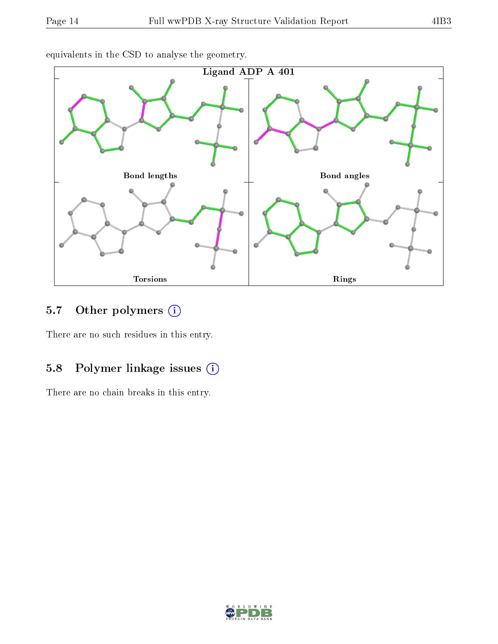

equivalents in the CSD to analyse the geometry.

# 5.7 [O](https://www.wwpdb.org/validation/2017/XrayValidationReportHelp#nonstandard_residues_and_ligands)ther polymers (i)

There are no such residues in this entry.

### 5.8 Polymer linkage issues (i)

There are no chain breaks in this entry.

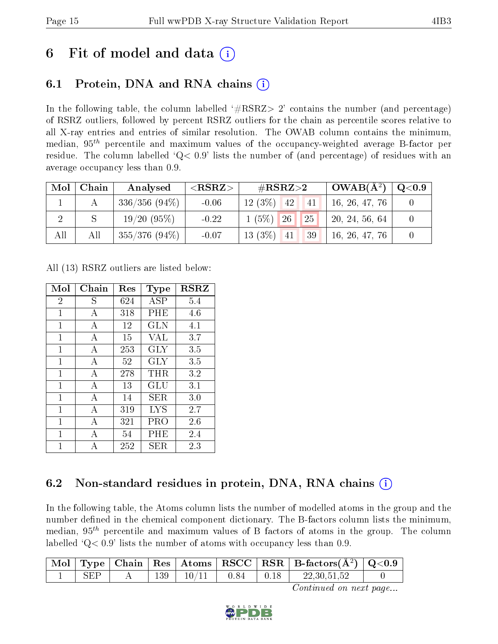# 6 Fit of model and data  $\circ$

## 6.1 Protein, DNA and RNA chains (i)

In the following table, the column labelled  $#RSRZ>2'$  contains the number (and percentage) of RSRZ outliers, followed by percent RSRZ outliers for the chain as percentile scores relative to all X-ray entries and entries of similar resolution. The OWAB column contains the minimum, median,  $95<sup>th</sup>$  percentile and maximum values of the occupancy-weighted average B-factor per residue. The column labelled  $Q< 0.9$  lists the number of (and percentage) of residues with an average occupancy less than 0.9.

| Mol | Chain | Analysed        | ${ <\hspace{-1.5pt}{\mathrm{RSRZ}} \hspace{-1.5pt}>}$ | # $RSRZ>2$                       | $OWAB(A^2)$    | Q <sub>0.9</sub> |
|-----|-------|-----------------|-------------------------------------------------------|----------------------------------|----------------|------------------|
|     |       | $336/356(94\%)$ | $-0.06$                                               | $12(3\%)$<br> 42 <br> 41         | 16, 26, 47, 76 |                  |
|     |       | 19/20(95%)      | $-0.22$                                               | $1(5\%)$ 26<br> 25               | 20, 24, 56, 64 |                  |
| All | All   | $355/376(94\%)$ | $-0.07$                                               | $13(3\%)$ 41<br>139 <sup>1</sup> | 16, 26, 47, 76 |                  |

All (13) RSRZ outliers are listed below:

| Mol            | Chain | $\operatorname{Res}% \left( \mathcal{N}\right) \equiv\operatorname{Res}(\mathcal{N}_{0},\mathcal{N}_{0})$ | Type       | <b>RSRZ</b> |
|----------------|-------|-----------------------------------------------------------------------------------------------------------|------------|-------------|
| $\overline{2}$ | S     | 624                                                                                                       | ASP        | 5.4         |
| 1              | А     | 318                                                                                                       | PHE        | 4.6         |
| $\mathbf{1}$   | А     | 12                                                                                                        | <b>GLN</b> | 4.1         |
| 1              | A     | 15                                                                                                        | <b>VAL</b> | 3.7         |
| 1              | А     | 253                                                                                                       | <b>GLY</b> | 3.5         |
| $\mathbf{1}$   | А     | 52                                                                                                        | <b>GLY</b> | 3.5         |
| 1              | А     | 278                                                                                                       | THR        | 3.2         |
| 1              | A     | 13                                                                                                        | GLU        | 3.1         |
| $\mathbf{1}$   | А     | 14                                                                                                        | SER        | 3.0         |
| 1              | А     | 319                                                                                                       | <b>LYS</b> | 2.7         |
| 1              | A     | 321                                                                                                       | PRO        | 2.6         |
| 1              | А     | 54                                                                                                        | PHE        | 2.4         |
| 1              |       | 252                                                                                                       | SER        | 2.3         |

### 6.2 Non-standard residues in protein, DNA, RNA chains (i)

In the following table, the Atoms column lists the number of modelled atoms in the group and the number defined in the chemical component dictionary. The B-factors column lists the minimum, median,  $95<sup>th</sup>$  percentile and maximum values of B factors of atoms in the group. The column labelled  $Q< 0.9$ ' lists the number of atoms with occupancy less than 0.9.

|  |     |              |        | $\mid$ Mol $\mid$ Type $\mid$ Chain $\mid$ Res $\mid$ Atoms $\mid$ RSCC $\mid$ RSR $\mid$ B-factors(A <sup>2</sup> ) $\mid$ Q<0.9 |  |
|--|-----|--------------|--------|-----------------------------------------------------------------------------------------------------------------------------------|--|
|  | 139 | $10/11$ 0.84 | ' 0.18 | 22,30,51,52                                                                                                                       |  |

Continued on next page...

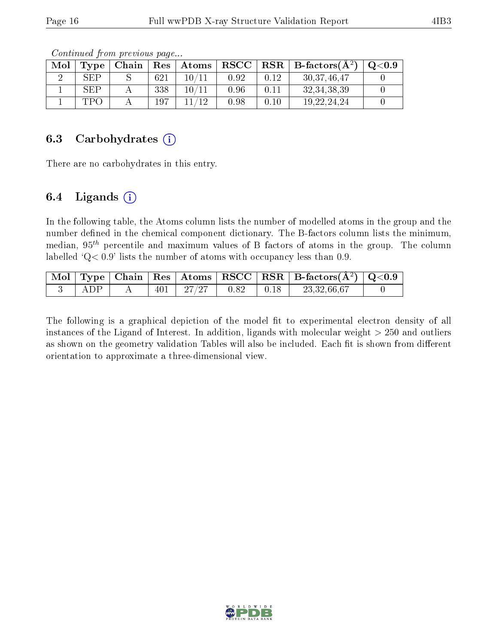| Mol | Type | Chain | $\operatorname{Res}$ | $\vert$ Atoms | $\bf RSCC$ |      | $\parallel$ RSR $\parallel$ B-factors( $\AA^2$ ) | $\mathrm{Q}{<}0.9$ |
|-----|------|-------|----------------------|---------------|------------|------|--------------------------------------------------|--------------------|
|     | SEP  |       | 621                  |               | 0.92       | 0.12 | 30, 37, 46, 47                                   |                    |
|     | SEP  |       | 338                  | 10 /11        | 0.96       | 0.11 | 32, 34, 38, 39                                   |                    |
|     | TPO  |       | 197                  |               | 0.98       | 0.10 | 19, 22, 24, 24                                   |                    |

Continued from previous page...

#### 6.3 Carbohydrates  $(i)$

There are no carbohydrates in this entry.

#### 6.4 Ligands  $(i)$

In the following table, the Atoms column lists the number of modelled atoms in the group and the number defined in the chemical component dictionary. The B-factors column lists the minimum, median,  $95<sup>th</sup>$  percentile and maximum values of B factors of atoms in the group. The column labelled  $Q < 0.9$ ' lists the number of atoms with occupancy less than 0.9.

|       |     |          |      |      | $\mid$ Mol $\mid$ Type $\mid$ Chain $\mid$ Res $\mid$ Atoms $\mid$ RSCC $\mid$ RSR $\mid$ B-factors(Å <sup>2</sup> ) $\mid$ Q<0.9 $\mid$ |  |
|-------|-----|----------|------|------|------------------------------------------------------------------------------------------------------------------------------------------|--|
| A D P | 401 | $-27/27$ | 0.82 | 0.18 | 23,32,66,67                                                                                                                              |  |

The following is a graphical depiction of the model fit to experimental electron density of all instances of the Ligand of Interest. In addition, ligands with molecular weight  $> 250$  and outliers as shown on the geometry validation Tables will also be included. Each fit is shown from different orientation to approximate a three-dimensional view.